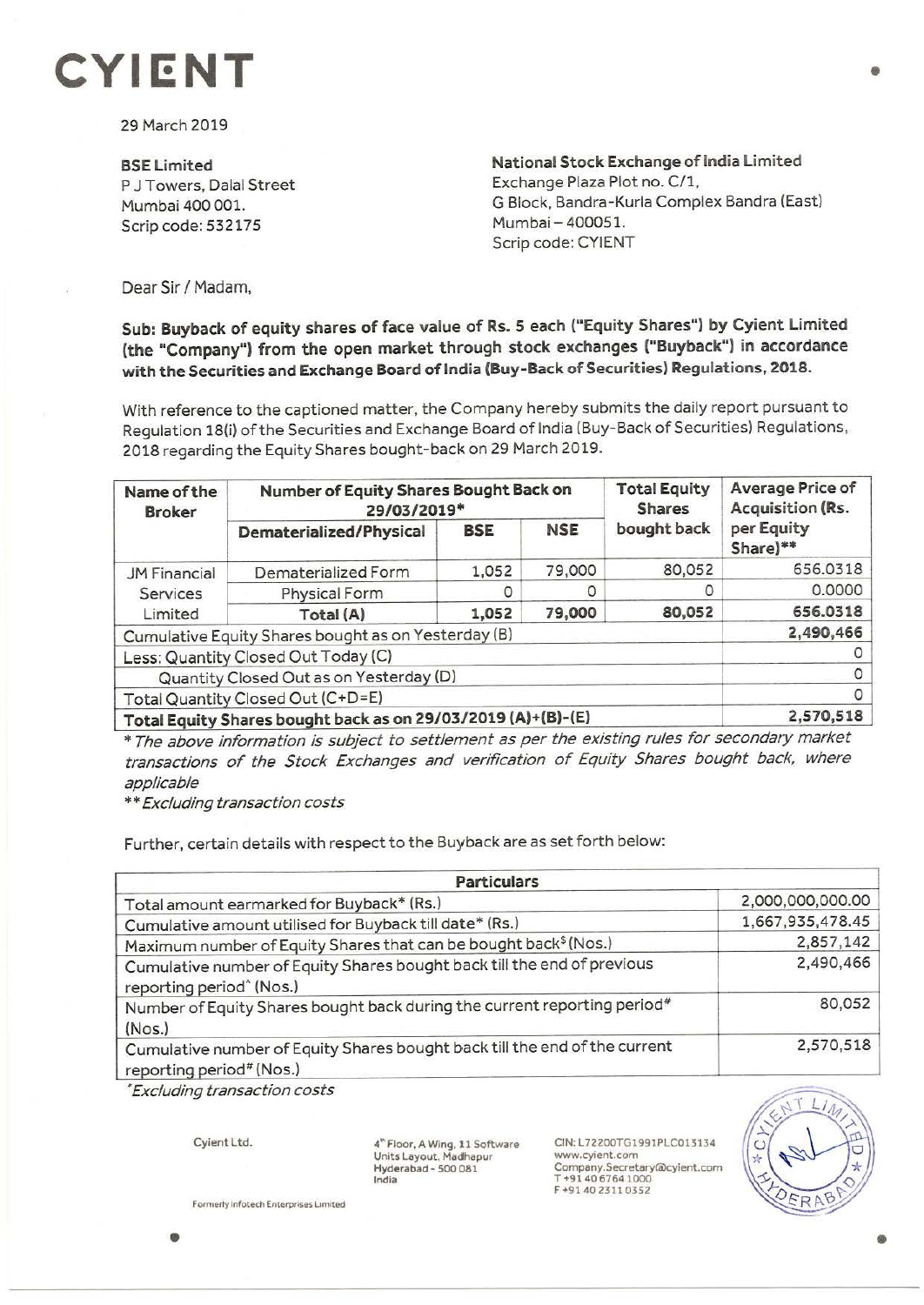## **CYll:NT** •

29 March 2019

**BSELimited**  P J Towers, Dalal Street Mumbai 400 001. Scrip code: 532175

**National Stock Exchange of India Limited**  Exchange Plaza Plot no. C/1, G Block, Bandra-Kurla Complex Sandra (East) Mumbai - 400051. Scrip code: CYIENT

Dear Sir/ Madam,

**Sub: Buyback of equity shares of face value of Rs. S each ("Equity Shares"') by Cyient Limited (the "Company") from the open market through stock exchanges ("Buyback") in accordance with the Securities and Exchange Board of India (Buy-Back of Securities) Regulations, 2018.** 

With reference to the captioned matter, the Company hereby submits the daily report pursuant to Regulation 18(i) of the Securities and Exchange Board of India (Buy-Back of Securities) Regulations, 2018 regarding the Equity Shares bought-back on 29 March 2019.

| Name of the<br><b>Broker</b>                                 | Number of Equity Shares Bought Back on<br>29/03/2019* |            |            | <b>Total Equity</b><br><b>Shares</b> | <b>Average Price of</b><br>Acquisition (Rs. |
|--------------------------------------------------------------|-------------------------------------------------------|------------|------------|--------------------------------------|---------------------------------------------|
|                                                              | Dematerialized/Physical                               | <b>BSE</b> | <b>NSE</b> | bought back                          | per Equity<br>Share)**                      |
| <b>JM Financial</b><br>Services<br>Limited                   | Dematerialized Form                                   | 1,052      | 79,000     | 80,052                               | 656.0318                                    |
|                                                              | Physical Form                                         | O          |            | 0                                    | 0.0000                                      |
|                                                              | Total (A)                                             | 1,052      | 79,000     | 80,052                               | 656.0318                                    |
| Cumulative Equity Shares bought as on Yesterday (B)          |                                                       |            |            |                                      | 2,490,466                                   |
| Less: Quantity Closed Out Today (C)                          |                                                       |            |            |                                      |                                             |
| Quantity Closed Out as on Yesterday (D)                      |                                                       |            |            |                                      |                                             |
| Total Quantity Closed Out (C+D=E)                            |                                                       |            |            |                                      |                                             |
| Total Equity Shares bought back as on 29/03/2019 (A)+(B)-(E) |                                                       |            |            |                                      | 2,570,518                                   |

\* The above information is subject to settlement as per the existing rules for secondary market transactions of the Stock Exchanges and verification of Equity Shares bought back, where applicable

\*\* Excluding transaction costs

Further, certain details with respect to the Buyback are as set forth below:

| <b>Particulars</b>                                                                                              |                  |  |  |  |
|-----------------------------------------------------------------------------------------------------------------|------------------|--|--|--|
| Total amount earmarked for Buyback* (Rs.)                                                                       | 2,000,000,000.00 |  |  |  |
| Cumulative amount utilised for Buyback till date* (Rs.)                                                         | 1,667,935,478.45 |  |  |  |
| Maximum number of Equity Shares that can be bought back <sup>\$</sup> (Nos.)                                    | 2,857,142        |  |  |  |
| Cumulative number of Equity Shares bought back till the end of previous<br>reporting period <sup>^</sup> (Nos.) | 2,490,466        |  |  |  |
| Number of Equity Shares bought back during the current reporting period#<br>(Nos.)                              | 80,052           |  |  |  |
| Cumulative number of Equity Shares bought back till the end of the current<br>reporting period# (Nos.)          | 2,570,518        |  |  |  |

• Excluding transaction costs

Cyient Ltd.

4"' Floor, A Wing, 11 Software Units Layout, Madhapur Hyderabad - 500 081 India

CIN:L72200TG1991PLC013134 www.cyient.com Company.Secretary®cyient.com T +9140 67641000 F +9140 23110352



**Formerly lnfotech Enterpnse5 L1m1ted**